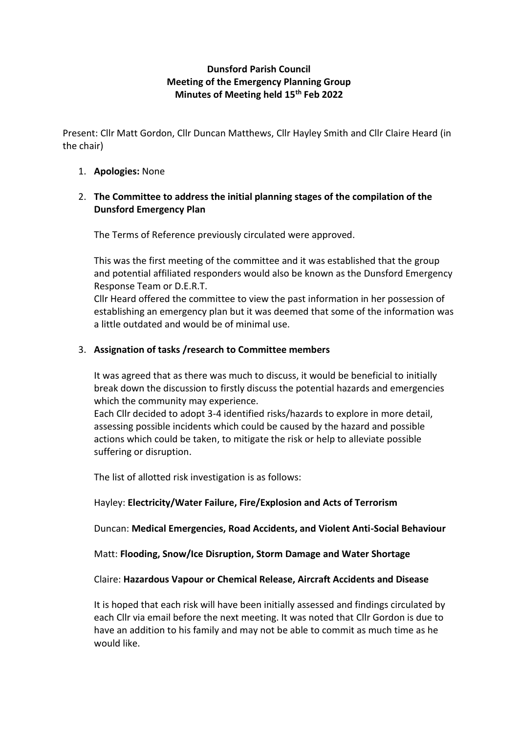# **Dunsford Parish Council Meeting of the Emergency Planning Group Minutes of Meeting held 15th Feb 2022**

Present: Cllr Matt Gordon, Cllr Duncan Matthews, Cllr Hayley Smith and Cllr Claire Heard (in the chair)

- 1. **Apologies:** None
- 2. **The Committee to address the initial planning stages of the compilation of the Dunsford Emergency Plan**

The Terms of Reference previously circulated were approved.

This was the first meeting of the committee and it was established that the group and potential affiliated responders would also be known as the Dunsford Emergency Response Team or D.E.R.T.

Cllr Heard offered the committee to view the past information in her possession of establishing an emergency plan but it was deemed that some of the information was a little outdated and would be of minimal use.

### 3. **Assignation of tasks /research to Committee members**

It was agreed that as there was much to discuss, it would be beneficial to initially break down the discussion to firstly discuss the potential hazards and emergencies which the community may experience.

Each Cllr decided to adopt 3-4 identified risks/hazards to explore in more detail, assessing possible incidents which could be caused by the hazard and possible actions which could be taken, to mitigate the risk or help to alleviate possible suffering or disruption.

The list of allotted risk investigation is as follows:

### Hayley: **Electricity/Water Failure, Fire/Explosion and Acts of Terrorism**

Duncan: **Medical Emergencies, Road Accidents, and Violent Anti-Social Behaviour**

#### Matt: **Flooding, Snow/Ice Disruption, Storm Damage and Water Shortage**

#### Claire: **Hazardous Vapour or Chemical Release, Aircraft Accidents and Disease**

It is hoped that each risk will have been initially assessed and findings circulated by each Cllr via email before the next meeting. It was noted that Cllr Gordon is due to have an addition to his family and may not be able to commit as much time as he would like.